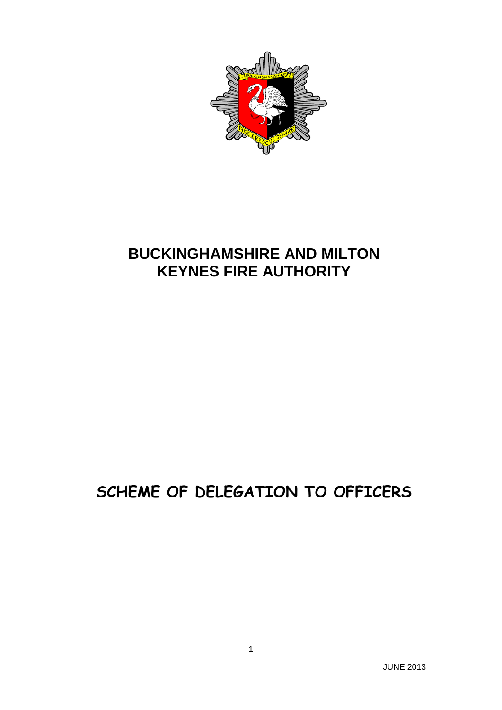

# **BUCKINGHAMSHIRE AND MILTON KEYNES FIRE AUTHORITY**

# **SCHEME OF DELEGATION TO OFFICERS**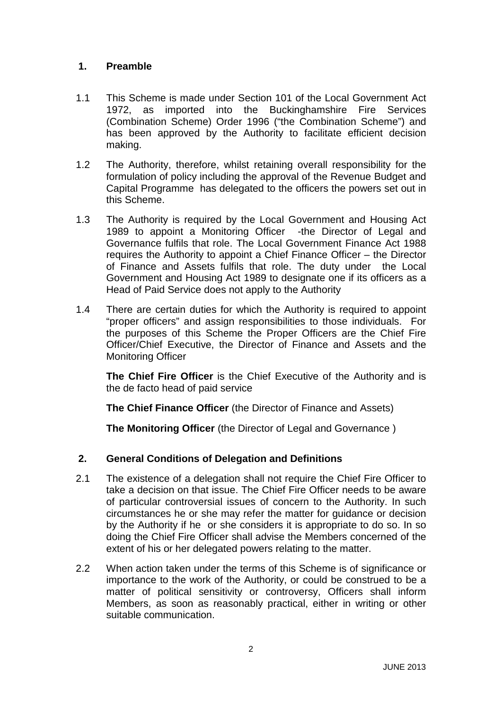## **1. Preamble**

- 1.1 This Scheme is made under Section 101 of the Local Government Act 1972, as imported into the Buckinghamshire Fire Services (Combination Scheme) Order 1996 ("the Combination Scheme") and has been approved by the Authority to facilitate efficient decision making.
- 1.2 The Authority, therefore, whilst retaining overall responsibility for the formulation of policy including the approval of the Revenue Budget and Capital Programme has delegated to the officers the powers set out in this Scheme.
- 1.3 The Authority is required by the Local Government and Housing Act 1989 to appoint a Monitoring Officer -the Director of Legal and Governance fulfils that role. The Local Government Finance Act 1988 requires the Authority to appoint a Chief Finance Officer – the Director of Finance and Assets fulfils that role. The duty under the Local Government and Housing Act 1989 to designate one if its officers as a Head of Paid Service does not apply to the Authority
- 1.4 There are certain duties for which the Authority is required to appoint "proper officers" and assign responsibilities to those individuals. For the purposes of this Scheme the Proper Officers are the Chief Fire Officer/Chief Executive, the Director of Finance and Assets and the Monitoring Officer

**The Chief Fire Officer** is the Chief Executive of the Authority and is the de facto head of paid service

**The Chief Finance Officer** (the Director of Finance and Assets)

**The Monitoring Officer** (the Director of Legal and Governance )

# **2. General Conditions of Delegation and Definitions**

- 2.1 The existence of a delegation shall not require the Chief Fire Officer to take a decision on that issue. The Chief Fire Officer needs to be aware of particular controversial issues of concern to the Authority. In such circumstances he or she may refer the matter for guidance or decision by the Authority if he or she considers it is appropriate to do so. In so doing the Chief Fire Officer shall advise the Members concerned of the extent of his or her delegated powers relating to the matter.
- 2.2 When action taken under the terms of this Scheme is of significance or importance to the work of the Authority, or could be construed to be a matter of political sensitivity or controversy, Officers shall inform Members, as soon as reasonably practical, either in writing or other suitable communication.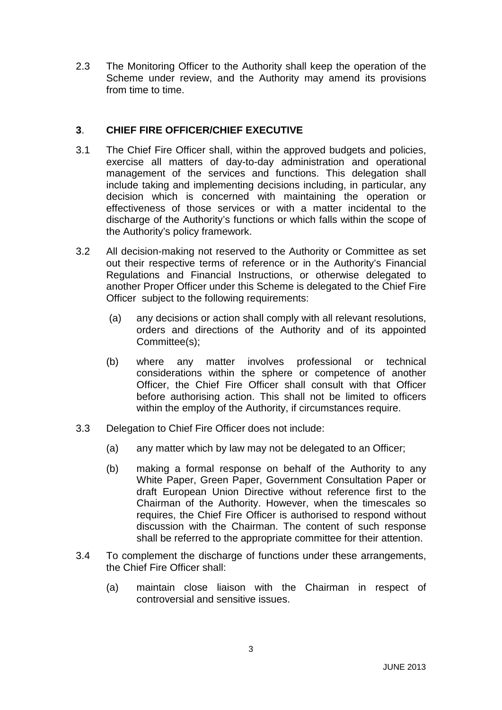2.3 The Monitoring Officer to the Authority shall keep the operation of the Scheme under review, and the Authority may amend its provisions from time to time.

### **3**. **CHIEF FIRE OFFICER/CHIEF EXECUTIVE**

- 3.1 The Chief Fire Officer shall, within the approved budgets and policies, exercise all matters of day-to-day administration and operational management of the services and functions. This delegation shall include taking and implementing decisions including, in particular, any decision which is concerned with maintaining the operation or effectiveness of those services or with a matter incidental to the discharge of the Authority's functions or which falls within the scope of the Authority's policy framework.
- 3.2 All decision-making not reserved to the Authority or Committee as set out their respective terms of reference or in the Authority's Financial Regulations and Financial Instructions, or otherwise delegated to another Proper Officer under this Scheme is delegated to the Chief Fire Officer subject to the following requirements:
	- (a) any decisions or action shall comply with all relevant resolutions, orders and directions of the Authority and of its appointed Committee(s);
	- (b) where any matter involves professional or technical considerations within the sphere or competence of another Officer, the Chief Fire Officer shall consult with that Officer before authorising action. This shall not be limited to officers within the employ of the Authority, if circumstances require.
- 3.3 Delegation to Chief Fire Officer does not include:
	- (a) any matter which by law may not be delegated to an Officer;
	- (b) making a formal response on behalf of the Authority to any White Paper, Green Paper, Government Consultation Paper or draft European Union Directive without reference first to the Chairman of the Authority. However, when the timescales so requires, the Chief Fire Officer is authorised to respond without discussion with the Chairman. The content of such response shall be referred to the appropriate committee for their attention.
- 3.4 To complement the discharge of functions under these arrangements, the Chief Fire Officer shall:
	- (a) maintain close liaison with the Chairman in respect of controversial and sensitive issues.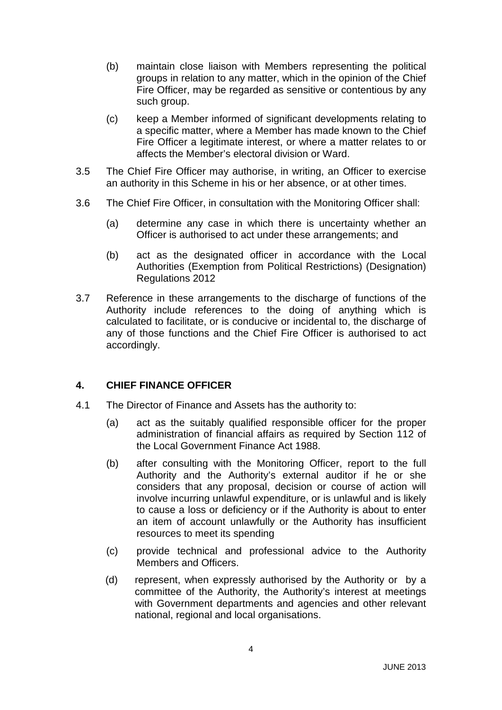- (b) maintain close liaison with Members representing the political groups in relation to any matter, which in the opinion of the Chief Fire Officer, may be regarded as sensitive or contentious by any such group.
- (c) keep a Member informed of significant developments relating to a specific matter, where a Member has made known to the Chief Fire Officer a legitimate interest, or where a matter relates to or affects the Member's electoral division or Ward.
- 3.5 The Chief Fire Officer may authorise, in writing, an Officer to exercise an authority in this Scheme in his or her absence, or at other times.
- 3.6 The Chief Fire Officer, in consultation with the Monitoring Officer shall:
	- (a) determine any case in which there is uncertainty whether an Officer is authorised to act under these arrangements; and
	- (b) act as the designated officer in accordance with the Local Authorities (Exemption from Political Restrictions) (Designation) Regulations 2012
- 3.7 Reference in these arrangements to the discharge of functions of the Authority include references to the doing of anything which is calculated to facilitate, or is conducive or incidental to, the discharge of any of those functions and the Chief Fire Officer is authorised to act accordingly.

#### **4. CHIEF FINANCE OFFICER**

- 4.1 The Director of Finance and Assets has the authority to:
	- (a) act as the suitably qualified responsible officer for the proper administration of financial affairs as required by Section 112 of the Local Government Finance Act 1988.
	- (b) after consulting with the Monitoring Officer, report to the full Authority and the Authority's external auditor if he or she considers that any proposal, decision or course of action will involve incurring unlawful expenditure, or is unlawful and is likely to cause a loss or deficiency or if the Authority is about to enter an item of account unlawfully or the Authority has insufficient resources to meet its spending
	- (c) provide technical and professional advice to the Authority Members and Officers.
	- (d) represent, when expressly authorised by the Authority or by a committee of the Authority, the Authority's interest at meetings with Government departments and agencies and other relevant national, regional and local organisations.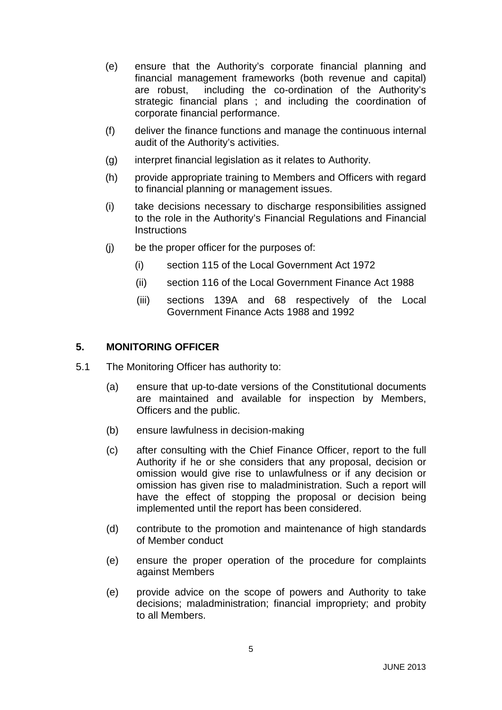- (e) ensure that the Authority's corporate financial planning and financial management frameworks (both revenue and capital) are robust, including the co-ordination of the Authority's strategic financial plans ; and including the coordination of corporate financial performance.
- (f) deliver the finance functions and manage the continuous internal audit of the Authority's activities.
- (g) interpret financial legislation as it relates to Authority.
- (h) provide appropriate training to Members and Officers with regard to financial planning or management issues.
- (i) take decisions necessary to discharge responsibilities assigned to the role in the Authority's Financial Regulations and Financial **Instructions**
- (j) be the proper officer for the purposes of:
	- (i) section 115 of the Local Government Act 1972
	- (ii) section 116 of the Local Government Finance Act 1988
	- (iii) sections 139A and 68 respectively of the Local Government Finance Acts 1988 and 1992

#### **5. MONITORING OFFICER**

- 5.1 The Monitoring Officer has authority to:
	- (a) ensure that up-to-date versions of the Constitutional documents are maintained and available for inspection by Members, Officers and the public.
	- (b) ensure lawfulness in decision-making
	- (c) after consulting with the Chief Finance Officer, report to the full Authority if he or she considers that any proposal, decision or omission would give rise to unlawfulness or if any decision or omission has given rise to maladministration. Such a report will have the effect of stopping the proposal or decision being implemented until the report has been considered.
	- (d) contribute to the promotion and maintenance of high standards of Member conduct
	- (e) ensure the proper operation of the procedure for complaints against Members
	- (e) provide advice on the scope of powers and Authority to take decisions; maladministration; financial impropriety; and probity to all Members.